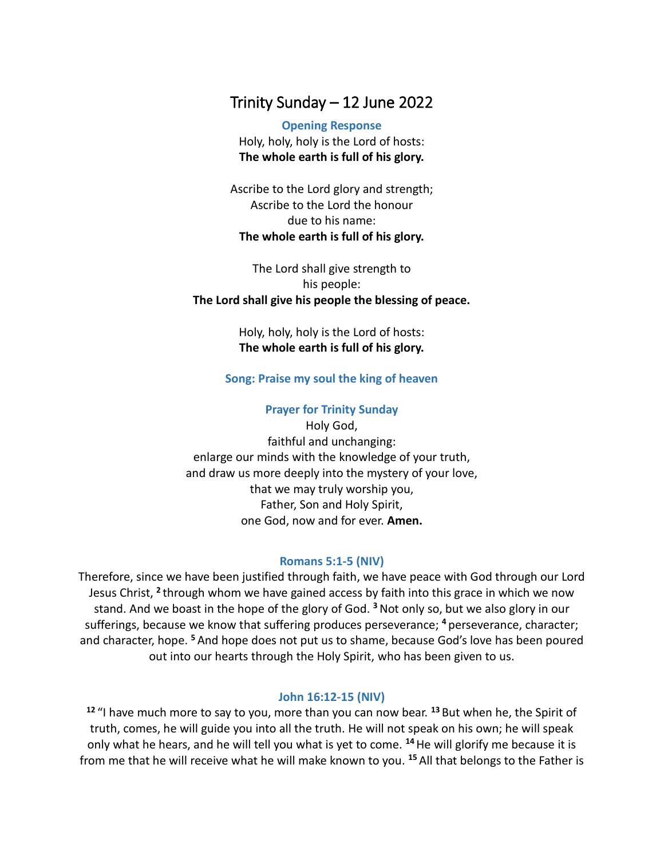# Trinity Sunday – 12 June 2022

**Opening Response** Holy, holy, holy is the Lord of hosts: **The whole earth is full of his glory.**

Ascribe to the Lord glory and strength; Ascribe to the Lord the honour due to his name: **The whole earth is full of his glory.**

The Lord shall give strength to his people: **The Lord shall give his people the blessing of peace.**

> Holy, holy, holy is the Lord of hosts: **The whole earth is full of his glory.**

## **Song: Praise my soul the king of heaven**

## **Prayer for Trinity Sunday**

Holy God, faithful and unchanging: enlarge our minds with the knowledge of your truth, and draw us more deeply into the mystery of your love, that we may truly worship you, Father, Son and Holy Spirit, one God, now and for ever. **Amen.**

#### **Romans 5:1-5 (NIV)**

Therefore, since we have been justified through faith, we have peace with God through our Lord Jesus Christ, <sup>2</sup> through whom we have gained access by faith into this grace in which we now stand. And we boast in the hope of the glory of God. **<sup>3</sup>**Not only so, but we also glory in our sufferings, because we know that suffering produces perseverance; **<sup>4</sup>** perseverance, character; and character, hope. **<sup>5</sup>** And hope does not put us to shame, because God's love has been poured out into our hearts through the Holy Spirit, who has been given to us.

## **John 16:12-15 (NIV)**

**12** "I have much more to say to you, more than you can now bear. **<sup>13</sup>** But when he, the Spirit of truth, comes, he will guide you into all the truth. He will not speak on his own; he will speak only what he hears, and he will tell you what is yet to come. **<sup>14</sup>**He will glorify me because it is from me that he will receive what he will make known to you. **<sup>15</sup>** All that belongs to the Father is